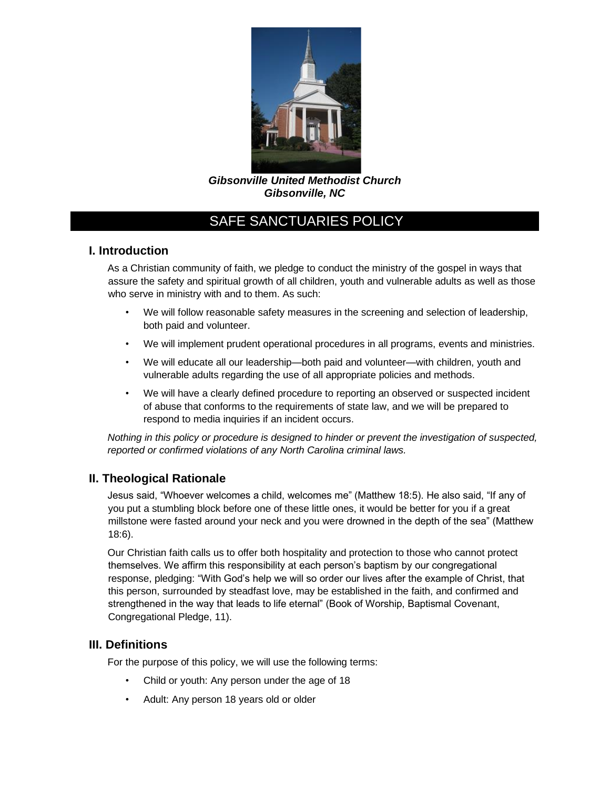

*Gibsonville United Methodist Church Gibsonville, NC*

## **I. Introduction**

As a Christian community of faith, we pledge to conduct the ministry of the gospel in ways that assure the safety and spiritual growth of all children, youth and vulnerable adults as well as those who serve in ministry with and to them. As such:

- We will follow reasonable safety measures in the screening and selection of leadership, both paid and volunteer.
- We will implement prudent operational procedures in all programs, events and ministries.
- We will educate all our leadership—both paid and volunteer—with children, youth and vulnerable adults regarding the use of all appropriate policies and methods.
- We will have a clearly defined procedure to reporting an observed or suspected incident of abuse that conforms to the requirements of state law, and we will be prepared to respond to media inquiries if an incident occurs.

*Nothing in this policy or procedure is designed to hinder or prevent the investigation of suspected, reported or confirmed violations of any North Carolina criminal laws.* 

## **II. Theological Rationale**

Jesus said, "Whoever welcomes a child, welcomes me" (Matthew 18:5). He also said, "If any of you put a stumbling block before one of these little ones, it would be better for you if a great millstone were fasted around your neck and you were drowned in the depth of the sea" (Matthew 18:6).

Our Christian faith calls us to offer both hospitality and protection to those who cannot protect themselves. We affirm this responsibility at each person's baptism by our congregational response, pledging: "With God's help we will so order our lives after the example of Christ, that this person, surrounded by steadfast love, may be established in the faith, and confirmed and strengthened in the way that leads to life eternal" (Book of Worship, Baptismal Covenant, Congregational Pledge, 11).

## **III. Definitions**

For the purpose of this policy, we will use the following terms:

- Child or youth: Any person under the age of 18
- Adult: Any person 18 years old or older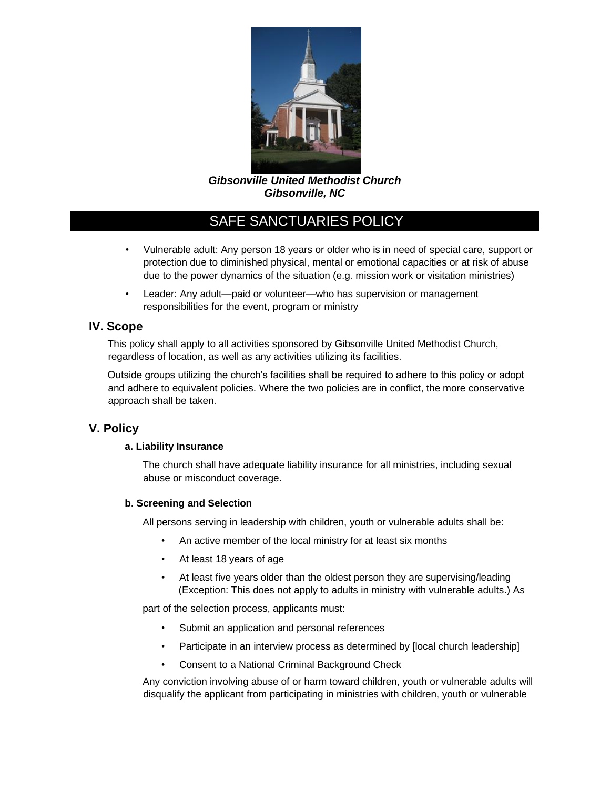

*Gibsonville United Methodist Church Gibsonville, NC*

- Vulnerable adult: Any person 18 years or older who is in need of special care, support or protection due to diminished physical, mental or emotional capacities or at risk of abuse due to the power dynamics of the situation (e.g. mission work or visitation ministries)
- Leader: Any adult—paid or volunteer—who has supervision or management responsibilities for the event, program or ministry

## **IV. Scope**

This policy shall apply to all activities sponsored by Gibsonville United Methodist Church, regardless of location, as well as any activities utilizing its facilities.

Outside groups utilizing the church's facilities shall be required to adhere to this policy or adopt and adhere to equivalent policies. Where the two policies are in conflict, the more conservative approach shall be taken.

## **V. Policy**

### **a. Liability Insurance**

The church shall have adequate liability insurance for all ministries, including sexual abuse or misconduct coverage.

### **b. Screening and Selection**

All persons serving in leadership with children, youth or vulnerable adults shall be:

- An active member of the local ministry for at least six months
- At least 18 years of age
- At least five years older than the oldest person they are supervising/leading (Exception: This does not apply to adults in ministry with vulnerable adults.) As

part of the selection process, applicants must:

- Submit an application and personal references
- Participate in an interview process as determined by [local church leadership]
- Consent to a National Criminal Background Check

Any conviction involving abuse of or harm toward children, youth or vulnerable adults will disqualify the applicant from participating in ministries with children, youth or vulnerable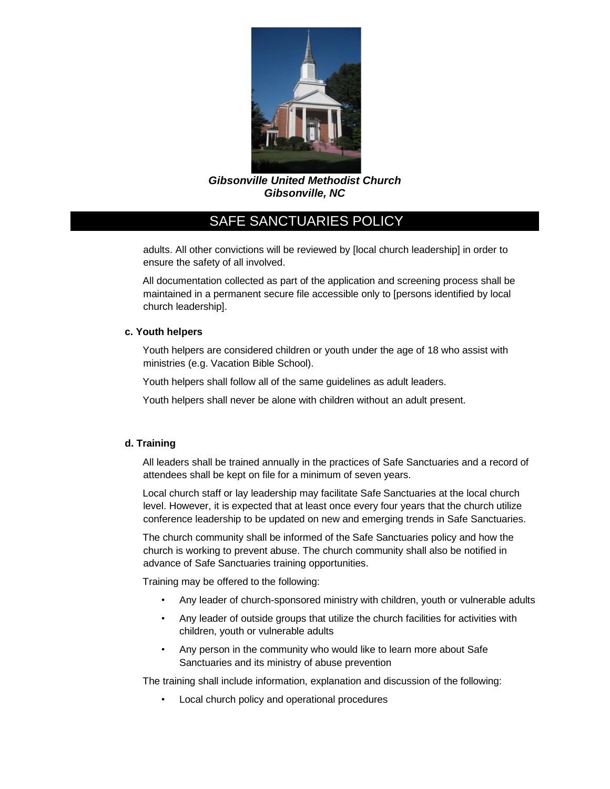

*Gibsonville United Methodist Church Gibsonville, NC*

adults. All other convictions will be reviewed by [local church leadership] in order to ensure the safety of all involved.

All documentation collected as part of the application and screening process shall be maintained in a permanent secure file accessible only to [persons identified by local church leadership].

### **c. Youth helpers**

Youth helpers are considered children or youth under the age of 18 who assist with ministries (e.g. Vacation Bible School).

Youth helpers shall follow all of the same guidelines as adult leaders.

Youth helpers shall never be alone with children without an adult present.

### **d. Training**

All leaders shall be trained annually in the practices of Safe Sanctuaries and a record of attendees shall be kept on file for a minimum of seven years.

Local church staff or lay leadership may facilitate Safe Sanctuaries at the local church level. However, it is expected that at least once every four years that the church utilize conference leadership to be updated on new and emerging trends in Safe Sanctuaries.

The church community shall be informed of the Safe Sanctuaries policy and how the church is working to prevent abuse. The church community shall also be notified in advance of Safe Sanctuaries training opportunities.

Training may be offered to the following:

- Any leader of church-sponsored ministry with children, youth or vulnerable adults
- Any leader of outside groups that utilize the church facilities for activities with children, youth or vulnerable adults
- Any person in the community who would like to learn more about Safe Sanctuaries and its ministry of abuse prevention

The training shall include information, explanation and discussion of the following:

Local church policy and operational procedures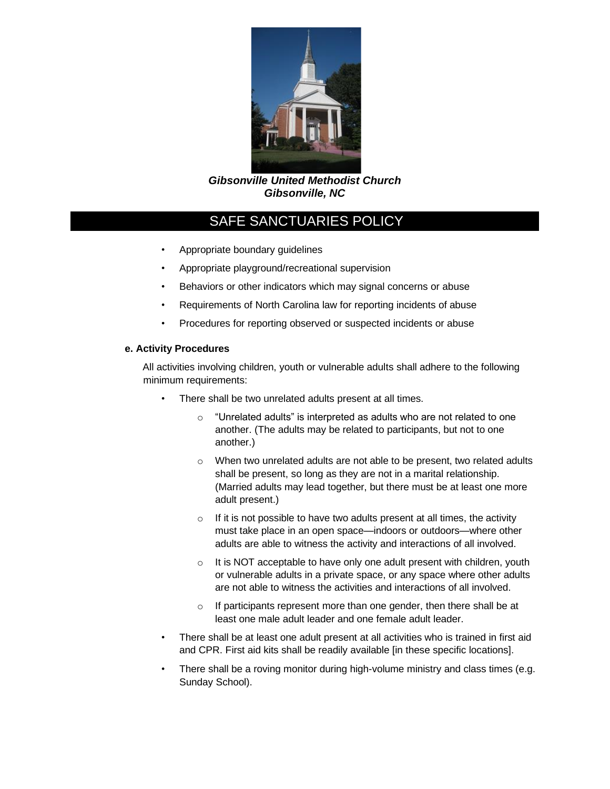

*Gibsonville United Methodist Church Gibsonville, NC*

- Appropriate boundary guidelines
- Appropriate playground/recreational supervision
- Behaviors or other indicators which may signal concerns or abuse
- Requirements of North Carolina law for reporting incidents of abuse
- Procedures for reporting observed or suspected incidents or abuse

### **e. Activity Procedures**

All activities involving children, youth or vulnerable adults shall adhere to the following minimum requirements:

- There shall be two unrelated adults present at all times.
	- $\circ$  "Unrelated adults" is interpreted as adults who are not related to one another. (The adults may be related to participants, but not to one another.)
	- o When two unrelated adults are not able to be present, two related adults shall be present, so long as they are not in a marital relationship. (Married adults may lead together, but there must be at least one more adult present.)
	- $\circ$  If it is not possible to have two adults present at all times, the activity must take place in an open space—indoors or outdoors—where other adults are able to witness the activity and interactions of all involved.
	- $\circ$  It is NOT acceptable to have only one adult present with children, youth or vulnerable adults in a private space, or any space where other adults are not able to witness the activities and interactions of all involved.
	- $\circ$  If participants represent more than one gender, then there shall be at least one male adult leader and one female adult leader.
- There shall be at least one adult present at all activities who is trained in first aid and CPR. First aid kits shall be readily available [in these specific locations].
- There shall be a roving monitor during high-volume ministry and class times (e.g. Sunday School).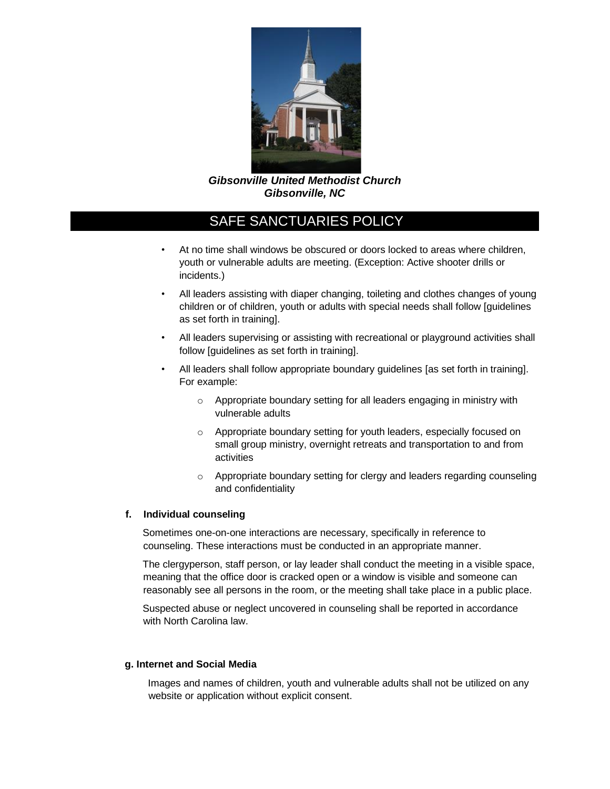

*Gibsonville United Methodist Church Gibsonville, NC*

- At no time shall windows be obscured or doors locked to areas where children, youth or vulnerable adults are meeting. (Exception: Active shooter drills or incidents.)
- All leaders assisting with diaper changing, toileting and clothes changes of young children or of children, youth or adults with special needs shall follow [guidelines as set forth in training].
- All leaders supervising or assisting with recreational or playground activities shall follow [guidelines as set forth in training].
- All leaders shall follow appropriate boundary guidelines [as set forth in training]. For example:
	- o Appropriate boundary setting for all leaders engaging in ministry with vulnerable adults
	- o Appropriate boundary setting for youth leaders, especially focused on small group ministry, overnight retreats and transportation to and from activities
	- o Appropriate boundary setting for clergy and leaders regarding counseling and confidentiality

#### **f. Individual counseling**

Sometimes one-on-one interactions are necessary, specifically in reference to counseling. These interactions must be conducted in an appropriate manner.

The clergyperson, staff person, or lay leader shall conduct the meeting in a visible space, meaning that the office door is cracked open or a window is visible and someone can reasonably see all persons in the room, or the meeting shall take place in a public place.

Suspected abuse or neglect uncovered in counseling shall be reported in accordance with North Carolina law.

#### **g. Internet and Social Media**

Images and names of children, youth and vulnerable adults shall not be utilized on any website or application without explicit consent.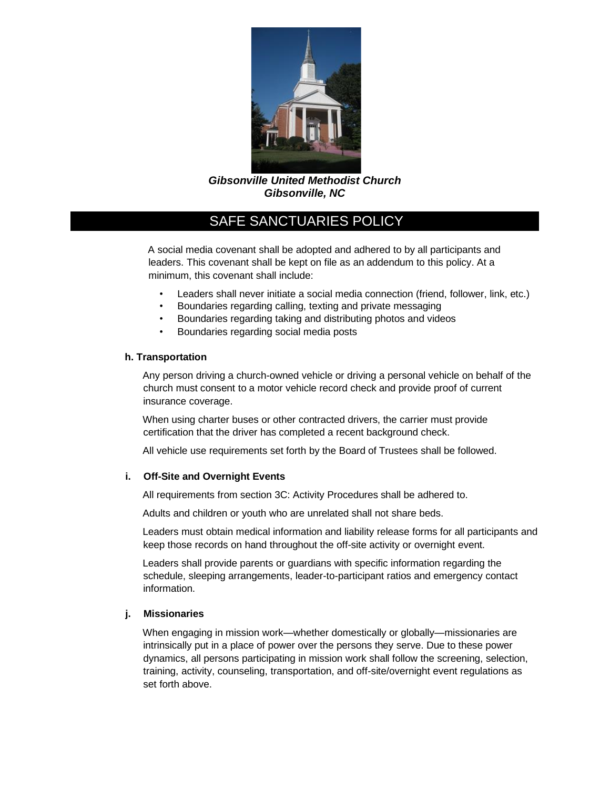

*Gibsonville United Methodist Church Gibsonville, NC*

A social media covenant shall be adopted and adhered to by all participants and leaders. This covenant shall be kept on file as an addendum to this policy. At a minimum, this covenant shall include:

- Leaders shall never initiate a social media connection (friend, follower, link, etc.)
- Boundaries regarding calling, texting and private messaging
- Boundaries regarding taking and distributing photos and videos
- Boundaries regarding social media posts

#### **h. Transportation**

Any person driving a church-owned vehicle or driving a personal vehicle on behalf of the church must consent to a motor vehicle record check and provide proof of current insurance coverage.

When using charter buses or other contracted drivers, the carrier must provide certification that the driver has completed a recent background check.

All vehicle use requirements set forth by the Board of Trustees shall be followed.

#### **i. Off-Site and Overnight Events**

All requirements from section 3C: Activity Procedures shall be adhered to.

Adults and children or youth who are unrelated shall not share beds.

Leaders must obtain medical information and liability release forms for all participants and keep those records on hand throughout the off-site activity or overnight event.

Leaders shall provide parents or guardians with specific information regarding the schedule, sleeping arrangements, leader-to-participant ratios and emergency contact information.

### **j. Missionaries**

When engaging in mission work—whether domestically or globally—missionaries are intrinsically put in a place of power over the persons they serve. Due to these power dynamics, all persons participating in mission work shall follow the screening, selection, training, activity, counseling, transportation, and off-site/overnight event regulations as set forth above.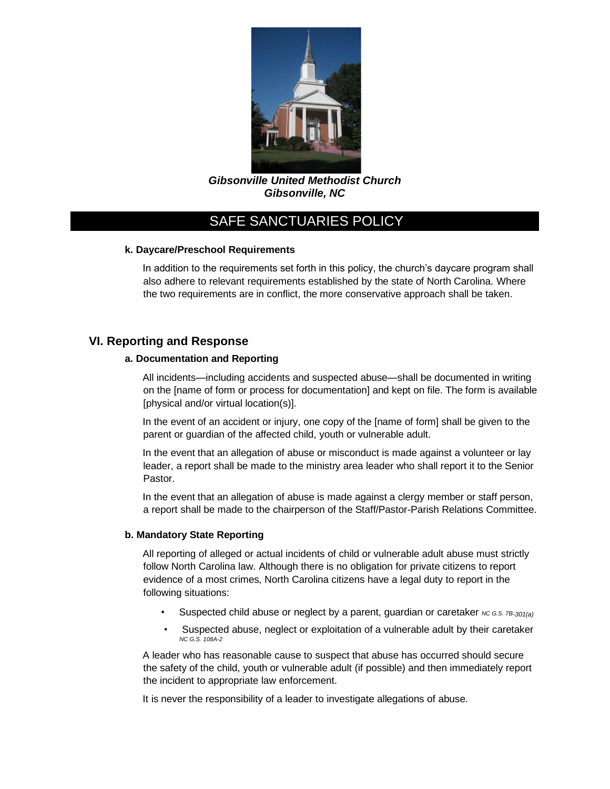

*Gibsonville United Methodist Church Gibsonville, NC*

### **k. Daycare/Preschool Requirements**

In addition to the requirements set forth in this policy, the church's daycare program shall also adhere to relevant requirements established by the state of North Carolina. Where the two requirements are in conflict, the more conservative approach shall be taken.

## **VI. Reporting and Response**

#### **a. Documentation and Reporting**

All incidents—including accidents and suspected abuse—shall be documented in writing on the [name of form or process for documentation] and kept on file. The form is available [physical and/or virtual location(s)].

In the event of an accident or injury, one copy of the [name of form] shall be given to the parent or guardian of the affected child, youth or vulnerable adult.

In the event that an allegation of abuse or misconduct is made against a volunteer or lay leader, a report shall be made to the ministry area leader who shall report it to the Senior Pastor.

In the event that an allegation of abuse is made against a clergy member or staff person, a report shall be made to the chairperson of the Staff/Pastor-Parish Relations Committee.

#### **b. Mandatory State Reporting**

All reporting of alleged or actual incidents of child or vulnerable adult abuse must strictly follow North Carolina law. Although there is no obligation for private citizens to report evidence of a most crimes, North Carolina citizens have a legal duty to report in the following situations:

- Suspected child abuse or neglect by a parent, guardian or caretaker *NC G.S. 7B-301(a)*
- Suspected abuse, neglect or exploitation of a vulnerable adult by their caretaker *NC G.S. 108A-2*

A leader who has reasonable cause to suspect that abuse has occurred should secure the safety of the child, youth or vulnerable adult (if possible) and then immediately report the incident to appropriate law enforcement.

It is never the responsibility of a leader to investigate allegations of abuse.